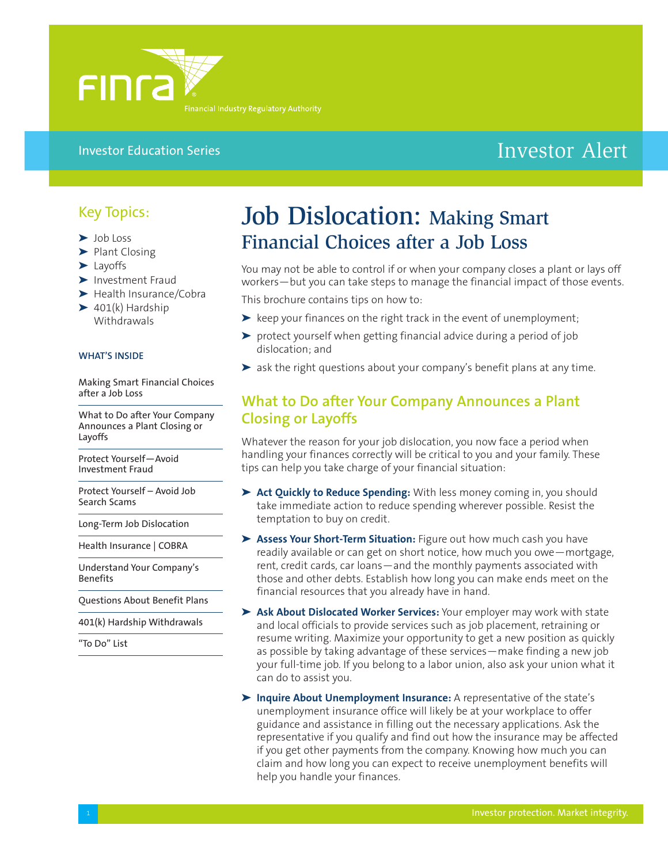

#### Investor Education Series

# Investor Alert

### Key Topics:

- **➤** Job Loss
- **➤** Plant Closing
- **➤** Layoffs
- **➤** Investment Fraud
- **➤** Health Insurance/Cobra
- **➤** 401(k) Hardship **Withdrawals**

#### **WHAT'S INSIDE**

Making Smart Financial Choices after a Job Loss

What to Do after Your Company Announces a Plant Closing or Layoffs

Protect Yourself—Avoid Investment Fraud

Protect Yourself – Avoid Job Search Scams

Long-Term Job Dislocation

Health Insurance | COBRA

Understand Your Company's Benefits

Questions About Benefit Plans

401(k) Hardship Withdrawals

"To Do" List

# Job Dislocation: Making Smart Financial Choices after a Job Loss

You may not be able to control if or when your company closes a plant or lays off workers—but you can take steps to manage the financial impact of those events.

This brochure contains tips on how to:

- **➤** keep your finances on the right track in the event of unemployment;
- **➤** protect yourself when getting financial advice during a period of job dislocation; and
- **➤** ask the right questions about your company's benefit plans at any time.

### **What to Do after Your Company Announces a Plant Closing or Layoffs**

Whatever the reason for your job dislocation, you now face a period when handling your finances correctly will be critical to you and your family. These tips can help you take charge of your financial situation:

- **➤ Act Quickly to Reduce Spending:** With less money coming in, you should take immediate action to reduce spending wherever possible. Resist the temptation to buy on credit.
- **➤ Assess Your Short-Term Situation:** Figure out how much cash you have readily available or can get on short notice, how much you owe—mortgage, rent, credit cards, car loans—and the monthly payments associated with those and other debts. Establish how long you can make ends meet on the financial resources that you already have in hand.
- **➤ Ask About Dislocated Worker Services:** Your employer may work with state and local officials to provide services such as job placement, retraining or resume writing. Maximize your opportunity to get a new position as quickly as possible by taking advantage of these services—make finding a new job your full-time job. If you belong to a labor union, also ask your union what it can do to assist you.
- **➤ Inquire About Unemployment Insurance:** A representative of the state's unemployment insurance office will likely be at your workplace to offer guidance and assistance in filling out the necessary applications. Ask the representative if you qualify and find out how the insurance may be affected if you get other payments from the company. Knowing how much you can claim and how long you can expect to receive unemployment benefits will help you handle your finances.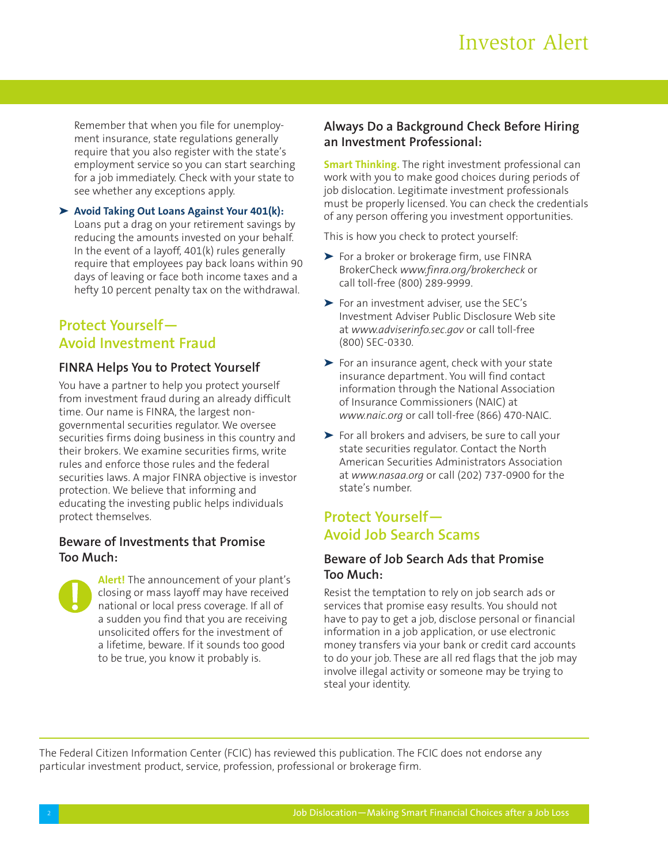Remember that when you file for unemployment insurance, state regulations generally require that you also register with the state's employment service so you can start searching for a job immediately. Check with your state to see whether any exceptions apply.

**➤ Avoid Taking Out Loans Against Your 401(k):** Loans put a drag on your retirement savings by reducing the amounts invested on your behalf. In the event of a layoff, 401(k) rules generally require that employees pay back loans within 90 days of leaving or face both income taxes and a hefty 10 percent penalty tax on the withdrawal.

# **Protect Yourself— Avoid Investment Fraud**

#### **FINRA Helps You to Protect Yourself**

You have a partner to help you protect yourself from investment fraud during an already difficult time. Our name is FINRA, the largest nongovernmental securities regulator. We oversee securities firms doing business in this country and their brokers. We examine securities firms, write rules and enforce those rules and the federal securities laws. A major FINRA objective is investor protection. We believe that informing and educating the investing public helps individuals protect themselves.

#### **Beware of Investments that Promise Too Much:**



**Alert!** The announcement of your plant's closing or mass layoff may have received national or local press coverage. If all of a sudden you find that you are receiving unsolicited offers for the investment of a lifetime, beware. If it sounds too good to be true, you know it probably is.

### **Always Do a Background Check Before Hiring an Investment Professional:**

**Smart Thinking.** The right investment professional can work with you to make good choices during periods of job dislocation. Legitimate investment professionals must be properly licensed. You can check the credentials of any person offering you investment opportunities.

This is how you check to protect yourself:

- **➤** For a broker or brokerage firm, use FINRA BrokerCheck *www.finra.org/brokercheck* or call toll-free (800) 289-9999.
- **➤** For an investment adviser, use the SEC's Investment Adviser Public Disclosure Web site at *www.adviserinfo.sec.gov* or call toll-free (800) SEC-0330.
- **➤** For an insurance agent, check with your state insurance department. You will find contact information through the National Association of Insurance Commissioners (NAIC) at *www.naic.org* or call toll-free (866) 470-NAIC.
- **➤** For all brokers and advisers, be sure to call your state securities regulator. Contact the North American Securities Administrators Association at *www.nasaa.org* or call (202) 737-0900 for the state's number.

## **Protect Yourself— Avoid Job Search Scams**

#### **Beware of Job Search Ads that Promise Too Much:**

Resist the temptation to rely on job search ads or services that promise easy results. You should not have to pay to get a job, disclose personal or financial information in a job application, or use electronic money transfers via your bank or credit card accounts to do your job. These are all red flags that the job may involve illegal activity or someone may be trying to steal your identity.

The Federal Citizen Information Center (FCIC) has reviewed this publication. The FCIC does not endorse any particular investment product, service, profession, professional or brokerage firm.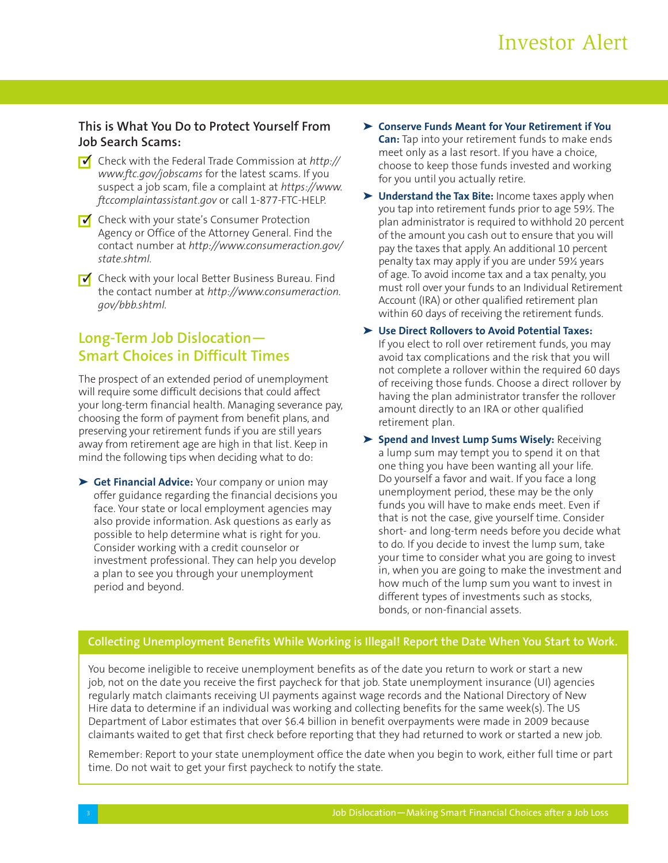### **This is What You Do to Protect Yourself From Job Search Scams:**

- Check with the Federal Trade Commission at *http://* **✓** *www.ftc.gov/jobscams* for the latest scams. If you suspect a job scam, file a complaint at *https://www. ftccomplaintassistant.gov* or call 1-877-FTC-HELP.
- Check with your state's Consumer Protection **✓** Agency or Office of the Attorney General. Find the contact number at *http://www.consumeraction.gov/ state.shtml.*
- Check with your local Better Business Bureau. Find **✓**the contact number at *http://www.consumeraction. gov/bbb.shtml.*

# **Long-Term Job Dislocation— Smart Choices in Difficult Times**

The prospect of an extended period of unemployment will require some difficult decisions that could affect your long-term financial health. Managing severance pay, choosing the form of payment from benefit plans, and preserving your retirement funds if you are still years away from retirement age are high in that list. Keep in mind the following tips when deciding what to do:

**➤ Get Financial Advice:** Your company or union may offer guidance regarding the financial decisions you face. Your state or local employment agencies may also provide information. Ask questions as early as possible to help determine what is right for you. Consider working with a credit counselor or investment professional. They can help you develop a plan to see you through your unemployment period and beyond.

- **➤ Conserve Funds Meant for Your Retirement if You Can:** Tap into your retirement funds to make ends meet only as a last resort. If you have a choice, choose to keep those funds invested and working for you until you actually retire.
- **➤ Understand the Tax Bite:** Income taxes apply when you tap into retirement funds prior to age 59½. The plan administrator is required to withhold 20 percent of the amount you cash out to ensure that you will pay the taxes that apply. An additional 10 percent penalty tax may apply if you are under 59½ years of age. To avoid income tax and a tax penalty, you must roll over your funds to an Individual Retirement Account (IRA) or other qualified retirement plan within 60 days of receiving the retirement funds.
- **➤ Use Direct Rollovers to Avoid Potential Taxes:** If you elect to roll over retirement funds, you may avoid tax complications and the risk that you will not complete a rollover within the required 60 days of receiving those funds. Choose a direct rollover by having the plan administrator transfer the rollover amount directly to an IRA or other qualified retirement plan.
- **➤ Spend and Invest Lump Sums Wisely:** Receiving a lump sum may tempt you to spend it on that one thing you have been wanting all your life. Do yourself a favor and wait. If you face a long unemployment period, these may be the only funds you will have to make ends meet. Even if that is not the case, give yourself time. Consider short- and long-term needs before you decide what to do. If you decide to invest the lump sum, take your time to consider what you are going to invest in, when you are going to make the investment and how much of the lump sum you want to invest in different types of investments such as stocks, bonds, or non-financial assets.

## **Collecting Unemployment Benefits While Working is Illegal! Report the Date When You Start to Work.**

You become ineligible to receive unemployment benefits as of the date you return to work or start a new job, not on the date you receive the first paycheck for that job. State unemployment insurance (UI) agencies regularly match claimants receiving UI payments against wage records and the National Directory of New Hire data to determine if an individual was working and collecting benefits for the same week(s). The US Department of Labor estimates that over \$6.4 billion in benefit overpayments were made in 2009 because claimants waited to get that first check before reporting that they had returned to work or started a new job.

Remember: Report to your state unemployment office the date when you begin to work, either full time or part time. Do not wait to get your first paycheck to notify the state.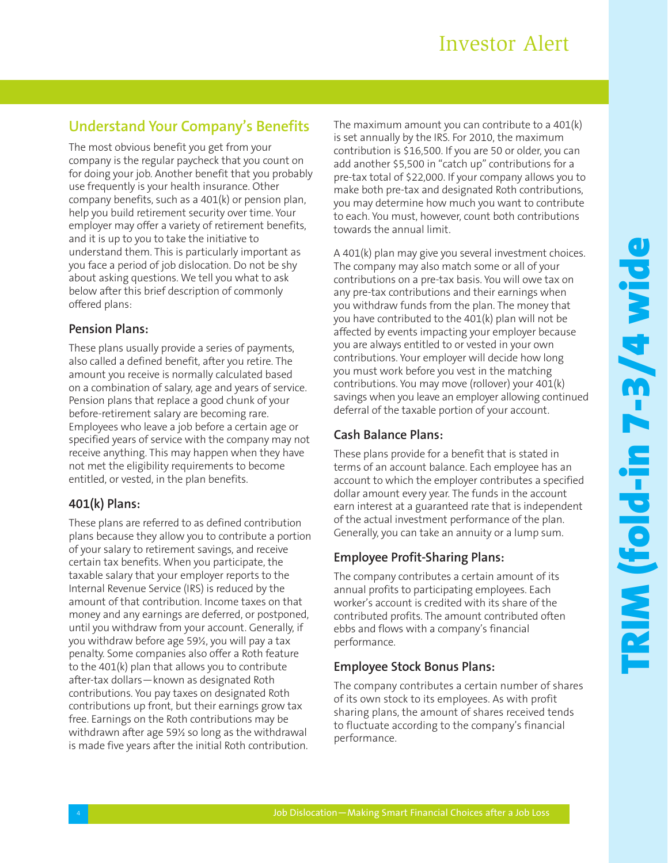## **Understand Your Company's Benefits**

The most obvious benefit you get from your company is the regular paycheck that you count on for doing your job. Another benefit that you probably use frequently is your health insurance. Other company benefits, such as a 401(k) or pension plan, help you build retirement security over time. Your employer may offer a variety of retirement benefits, and it is up to you to take the initiative to understand them. This is particularly important as you face a period of job dislocation. Do not be shy about asking questions. We tell you what to ask below after this brief description of commonly offered plans:

#### **Pension Plans:**

These plans usually provide a series of payments, also called a defined benefit, after you retire. The amount you receive is normally calculated based on a combination of salary, age and years of service. Pension plans that replace a good chunk of your before-retirement salary are becoming rare. Employees who leave a job before a certain age or specified years of service with the company may not receive anything. This may happen when they have not met the eligibility requirements to become entitled, or vested, in the plan benefits.

#### **401(k) Plans:**

These plans are referred to as defined contribution plans because they allow you to contribute a portion of your salary to retirement savings, and receive certain tax benefits. When you participate, the taxable salary that your employer reports to the Internal Revenue Service (IRS) is reduced by the amount of that contribution. Income taxes on that money and any earnings are deferred, or postponed, until you withdraw from your account. Generally, if you withdraw before age 59½, you will pay a tax penalty. Some companies also offer a Roth feature to the 401(k) plan that allows you to contribute after-tax dollars—known as designated Roth contributions. You pay taxes on designated Roth contributions up front, but their earnings grow tax free. Earnings on the Roth contributions may be withdrawn after age 59½ so long as the withdrawal is made five years after the initial Roth contribution.

The maximum amount you can contribute to a 401(k) is set annually by the IRS. For 2010, the maximum contribution is \$16,500. If you are 50 or older, you can add another \$5,500 in "catch up" contributions for a pre-tax total of \$22,000. If your company allows you to make both pre-tax and designated Roth contributions, you may determine how much you want to contribute to each. You must, however, count both contributions towards the annual limit.

A 401(k) plan may give you several investment choices. The company may also match some or all of your contributions on a pre-tax basis. You will owe tax on any pre-tax contributions and their earnings when you withdraw funds from the plan. The money that you have contributed to the 401(k) plan will not be affected by events impacting your employer because you are always entitled to or vested in your own contributions. Your employer will decide how long you must work before you vest in the matching contributions. You may move (rollover) your 401(k) savings when you leave an employer allowing continued deferral of the taxable portion of your account.

#### **Cash Balance Plans:**

These plans provide for a benefit that is stated in terms of an account balance. Each employee has an account to which the employer contributes a specified dollar amount every year. The funds in the account earn interest at a guaranteed rate that is independent of the actual investment performance of the plan. Generally, you can take an annuity or a lump sum.

#### **Employee Profit-Sharing Plans:**

The company contributes a certain amount of its annual profits to participating employees. Each worker's account is credited with its share of the contributed profits. The amount contributed often ebbs and flows with a company's financial performance.

#### **Employee Stock Bonus Plans:**

The company contributes a certain number of shares of its own stock to its employees. As with profit sharing plans, the amount of shares received tends to fluctuate according to the company's financial performance.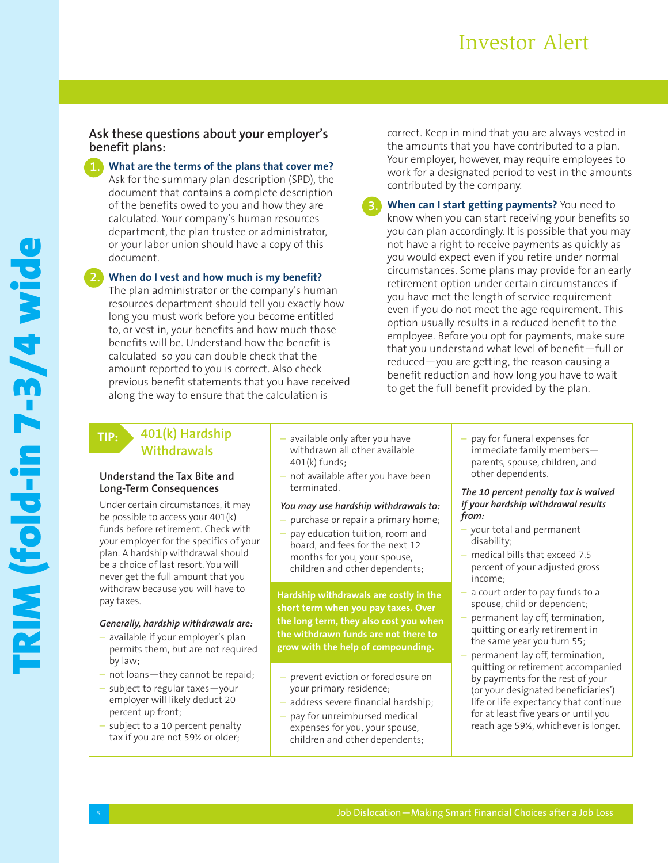# Investor Alert

#### **Ask these questions about your employer's benefit plans:**

**What are the terms of the plans that cover me?** Ask for the summary plan description (SPD), the document that contains a complete description of the benefits owed to you and how they are calculated. Your company's human resources department, the plan trustee or administrator, or your labor union should have a copy of this document.

**When do I vest and how much is my benefit? 2.**

The plan administrator or the company's human resources department should tell you exactly how long you must work before you become entitled to, or vest in, your benefits and how much those benefits will be. Understand how the benefit is calculated so you can double check that the amount reported to you is correct. Also check previous benefit statements that you have received along the way to ensure that the calculation is

correct. Keep in mind that you are always vested in the amounts that you have contributed to a plan. Your employer, however, may require employees to work for a designated period to vest in the amounts contributed by the company.

**When can I start getting payments?** You need to know when you can start receiving your benefits so you can plan accordingly. It is possible that you may not have a right to receive payments as quickly as you would expect even if you retire under normal circumstances. Some plans may provide for an early retirement option under certain circumstances if you have met the length of service requirement even if you do not meet the age requirement. This option usually results in a reduced benefit to the employee. Before you opt for payments, make sure that you understand what level of benefit—full or reduced—you are getting, the reason causing a benefit reduction and how long you have to wait to get the full benefit provided by the plan.

### **TIP:**

#### **401(k) Hardship Withdrawals**

#### **Understand the Tax Bite and Long-Term Consequences**

Under certain circumstances, it may be possible to access your 401(k) funds before retirement. Check with your employer for the specifics of your plan. A hardship withdrawal should be a choice of last resort. You will never get the full amount that you withdraw because you will have to pay taxes.

#### *Generally, hardship withdrawals are:*

- available if your employer's plan permits them, but are not required by law;
- not loans—they cannot be repaid;
- subject to regular taxes—your employer will likely deduct 20 percent up front;
- subject to a 10 percent penalty tax if you are not 59½ or older;
- available only after you have withdrawn all other available 401(k) funds;
- not available after you have been terminated.

#### *You may use hardship withdrawals to:*

- purchase or repair a primary home;
- pay education tuition, room and board, and fees for the next 12 months for you, your spouse, children and other dependents;

**Hardship withdrawals are costly in the short term when you pay taxes. Over the long term, they also cost you when the withdrawn funds are not there to grow with the help of compounding.**

- prevent eviction or foreclosure on your primary residence;
- address severe financial hardship;
- pay for unreimbursed medical expenses for you, your spouse, children and other dependents;

– pay for funeral expenses for immediate family members parents, spouse, children, and other dependents.

*The 10 percent penalty tax is waived if your hardship withdrawal results from:*

- your total and permanent disability;
- medical bills that exceed 7.5 percent of your adjusted gross income;
- a court order to pay funds to a spouse, child or dependent;
- permanent lay off, termination, quitting or early retirement in the same year you turn 55;
- permanent lay off, termination, quitting or retirement accompanied by payments for the rest of your (or your designated beneficiaries') life or life expectancy that continue for at least five years or until you reach age 59½, whichever is longer.